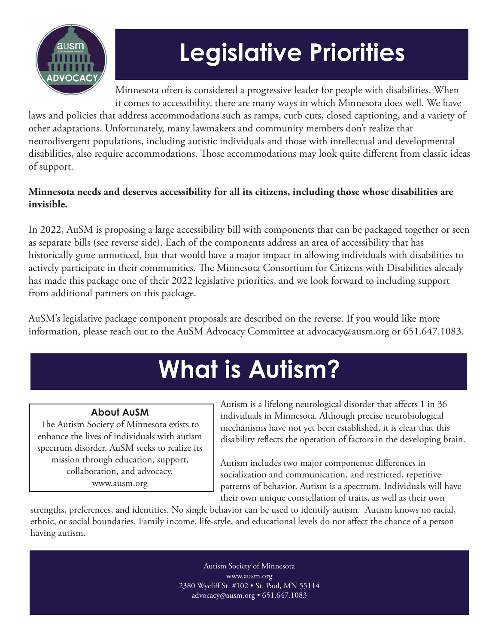

# **Legislative Priorities**

Minnesota often is considered a progressive leader for people with disabilities. When it comes to accessibility, there are many ways in which Minnesota does well. We have

laws and policies that address accommodations such as ramps, curb cuts, closed captioning, and a variety of other adaptations. Unfortunately, many lawmakers and community members don't realize that neurodivergent populations, including autistic individuals and those with intellectual and developmental disabilities, also require accommodations. Those accommodations may look quite different from classic ideas of support.

#### **Minnesota needs and deserves accessibility for all its citizens, including those whose disabilities are invisible.**

In 2022, AuSM is proposing a large accessibility bill with components that can be packaged together or seen as separate bills (see reverse side). Each of the components address an area of accessibility that has historically gone unnoticed, but that would have a major impact in allowing individuals with disabilities to actively participate in their communities. The Minnesota Consortium for Citizens with Disabilities already has made this package one of their 2022 legislative priorities, and we look forward to including support from additional partners on this package.

AuSM's legislative package component proposals are described on the reverse. If you would like more information, please reach out to the AuSM Advocacy Committee at advocacy@ausm.org or 651.647.1083.

## **What is Autism?**

#### **About AuSM**

The Autism Society of Minnesota exists to enhance the lives of individuals with autism spectrum disorder. AuSM seeks to realize its mission through education, support, collaboration, and advocacy. www.ausm.org

Autism is a lifelong neurological disorder that affects 1 in 36 individuals in Minnesota. Although precise neurobiological mechanisms have not yet been established, it is clear that this disability reflects the operation of factors in the developing brain.

Autism includes two major components: differences in socialization and communication, and restricted, repetitive patterns of behavior. Autism is a spectrum. Individuals will have their own unique constellation of traits, as well as their own

strengths, preferences, and identities. No single behavior can be used to identify autism. Autism knows no racial, ethnic, or social boundaries. Family income, life-style, and educational levels do not affect the chance of a person having autism.

> Autism Society of Minnesota www.ausm.org 2380 Wycliff St. #102 • St. Paul, MN 55114 advocacy@ausm.org • 651.647.1083